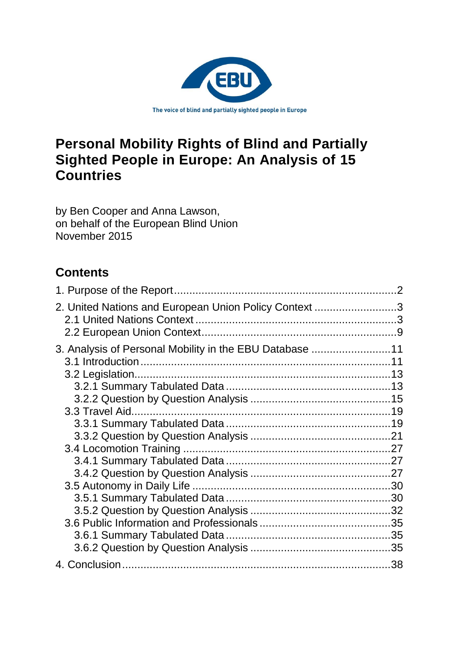

# **Personal Mobility Rights of Blind and Partially Sighted People in Europe: An Analysis of 15 Countries**

by Ben Cooper and Anna Lawson, on behalf of the European Blind Union November 2015

# **Contents**

| 2. United Nations and European Union Policy Context 3   |    |
|---------------------------------------------------------|----|
| 3. Analysis of Personal Mobility in the EBU Database 11 |    |
|                                                         | 11 |
|                                                         |    |
|                                                         |    |
|                                                         |    |
|                                                         |    |
|                                                         |    |
|                                                         |    |
|                                                         |    |
|                                                         |    |
|                                                         |    |
|                                                         |    |
|                                                         |    |
|                                                         |    |
|                                                         |    |
|                                                         |    |
|                                                         |    |
|                                                         |    |
|                                                         |    |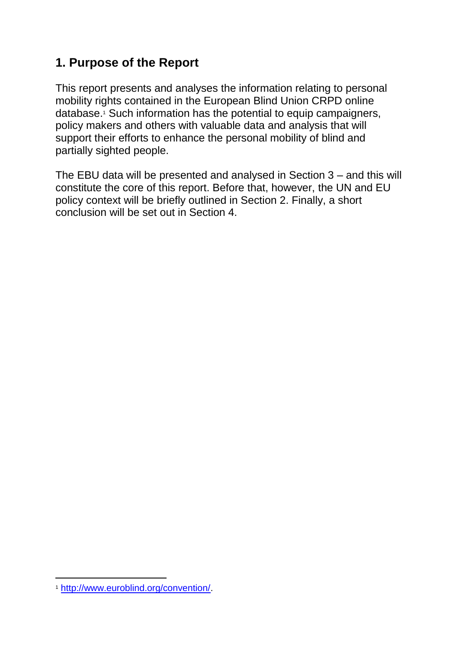## <span id="page-1-0"></span>**1. Purpose of the Report**

This report presents and analyses the information relating to personal mobility rights contained in the European Blind Union CRPD online database.<sup>1</sup> Such information has the potential to equip campaigners, policy makers and others with valuable data and analysis that will support their efforts to enhance the personal mobility of blind and partially sighted people.

The EBU data will be presented and analysed in Section 3 – and this will constitute the core of this report. Before that, however, the UN and EU policy context will be briefly outlined in Section 2. Finally, a short conclusion will be set out in Section 4.

 $\overline{a}$ <sup>1</sup> [http://www.euroblind.org/convention/.](https://outlook-legacy.leeds.ac.uk/owa/redir.aspx?C=PTj2Fz_y-0u2hwcEvDykClLsuS8zotFIEsyMXtRHrLuCRUDfvGV3_tZfozivPgFVSJtgmWRXKJU.&URL=http%3a%2f%2fwww.euroblind.org%2fconvention%2f)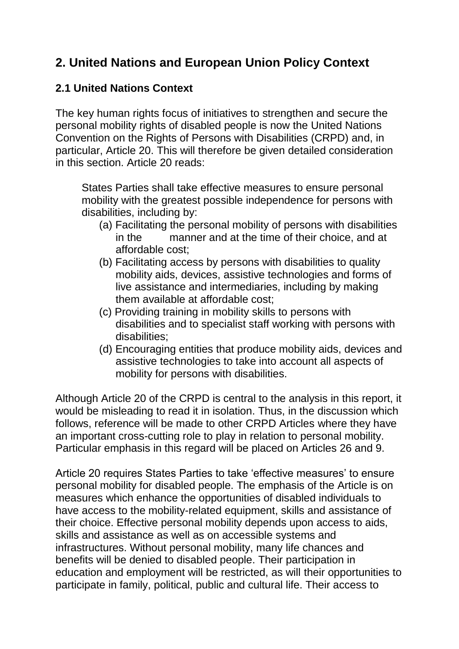## <span id="page-2-0"></span>**2. United Nations and European Union Policy Context**

## <span id="page-2-1"></span>**2.1 United Nations Context**

The key human rights focus of initiatives to strengthen and secure the personal mobility rights of disabled people is now the United Nations Convention on the Rights of Persons with Disabilities (CRPD) and, in particular, Article 20. This will therefore be given detailed consideration in this section. Article 20 reads:

States Parties shall take effective measures to ensure personal mobility with the greatest possible independence for persons with disabilities, including by:

- (a) Facilitating the personal mobility of persons with disabilities in the manner and at the time of their choice, and at affordable cost;
- (b) Facilitating access by persons with disabilities to quality mobility aids, devices, assistive technologies and forms of live assistance and intermediaries, including by making them available at affordable cost;
- (c) Providing training in mobility skills to persons with disabilities and to specialist staff working with persons with disabilities;
- (d) Encouraging entities that produce mobility aids, devices and assistive technologies to take into account all aspects of mobility for persons with disabilities.

Although Article 20 of the CRPD is central to the analysis in this report, it would be misleading to read it in isolation. Thus, in the discussion which follows, reference will be made to other CRPD Articles where they have an important cross-cutting role to play in relation to personal mobility. Particular emphasis in this regard will be placed on Articles 26 and 9.

Article 20 requires States Parties to take 'effective measures' to ensure personal mobility for disabled people. The emphasis of the Article is on measures which enhance the opportunities of disabled individuals to have access to the mobility-related equipment, skills and assistance of their choice. Effective personal mobility depends upon access to aids, skills and assistance as well as on accessible systems and infrastructures. Without personal mobility, many life chances and benefits will be denied to disabled people. Their participation in education and employment will be restricted, as will their opportunities to participate in family, political, public and cultural life. Their access to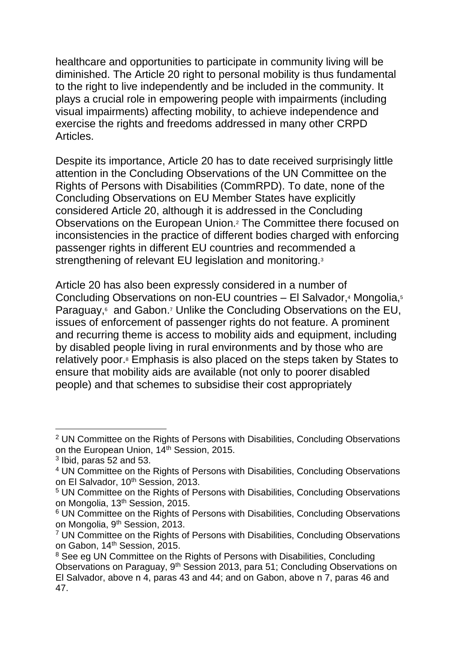healthcare and opportunities to participate in community living will be diminished. The Article 20 right to personal mobility is thus fundamental to the right to live independently and be included in the community. It plays a crucial role in empowering people with impairments (including visual impairments) affecting mobility, to achieve independence and exercise the rights and freedoms addressed in many other CRPD Articles.

Despite its importance, Article 20 has to date received surprisingly little attention in the Concluding Observations of the UN Committee on the Rights of Persons with Disabilities (CommRPD). To date, none of the Concluding Observations on EU Member States have explicitly considered Article 20, although it is addressed in the Concluding Observations on the European Union.<sup>2</sup> The Committee there focused on inconsistencies in the practice of different bodies charged with enforcing passenger rights in different EU countries and recommended a strengthening of relevant EU legislation and monitoring.<sup>3</sup>

Article 20 has also been expressly considered in a number of Concluding Observations on non-EU countries – El Salvador,<sup>4</sup> Mongolia,<sup>5</sup> Paraguay,<sup>6</sup> and Gabon.<sup>7</sup> Unlike the Concluding Observations on the EU, issues of enforcement of passenger rights do not feature. A prominent and recurring theme is access to mobility aids and equipment, including by disabled people living in rural environments and by those who are relatively poor.<sup>8</sup> Emphasis is also placed on the steps taken by States to ensure that mobility aids are available (not only to poorer disabled people) and that schemes to subsidise their cost appropriately

-

<sup>&</sup>lt;sup>2</sup> UN Committee on the Rights of Persons with Disabilities, Concluding Observations on the European Union, 14<sup>th</sup> Session, 2015.

 $3$  lbid, paras 52 and 53.

<sup>4</sup> UN Committee on the Rights of Persons with Disabilities, Concluding Observations on El Salvador, 10<sup>th</sup> Session, 2013.

<sup>5</sup> UN Committee on the Rights of Persons with Disabilities, Concluding Observations on Mongolia, 13th Session, 2015.

<sup>&</sup>lt;sup>6</sup> UN Committee on the Rights of Persons with Disabilities, Concluding Observations on Mongolia, 9<sup>th</sup> Session, 2013.

<sup>7</sup> UN Committee on the Rights of Persons with Disabilities, Concluding Observations on Gabon, 14<sup>th</sup> Session, 2015.

<sup>&</sup>lt;sup>8</sup> See eg UN Committee on the Rights of Persons with Disabilities, Concluding Observations on Paraguay, 9th Session 2013, para 51; Concluding Observations on El Salvador, above n 4, paras 43 and 44; and on Gabon, above n 7, paras 46 and 47.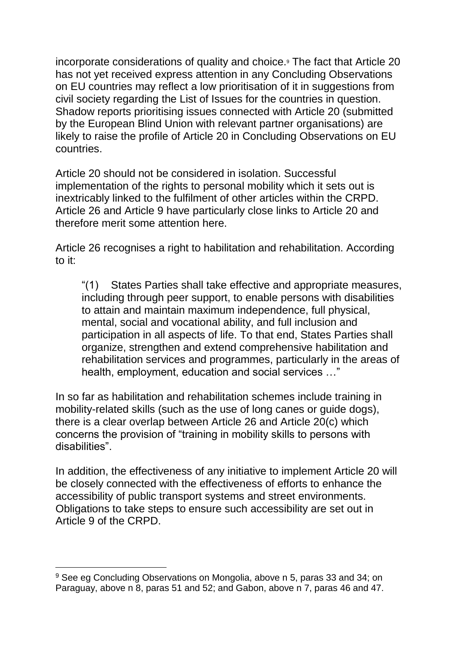incorporate considerations of quality and choice.<sup>9</sup> The fact that Article 20 has not yet received express attention in any Concluding Observations on EU countries may reflect a low prioritisation of it in suggestions from civil society regarding the List of Issues for the countries in question. Shadow reports prioritising issues connected with Article 20 (submitted by the European Blind Union with relevant partner organisations) are likely to raise the profile of Article 20 in Concluding Observations on EU countries.

Article 20 should not be considered in isolation. Successful implementation of the rights to personal mobility which it sets out is inextricably linked to the fulfilment of other articles within the CRPD. Article 26 and Article 9 have particularly close links to Article 20 and therefore merit some attention here.

Article 26 recognises a right to habilitation and rehabilitation. According to it:

"(1) States Parties shall take effective and appropriate measures, including through peer support, to enable persons with disabilities to attain and maintain maximum independence, full physical, mental, social and vocational ability, and full inclusion and participation in all aspects of life. To that end, States Parties shall organize, strengthen and extend comprehensive habilitation and rehabilitation services and programmes, particularly in the areas of health, employment, education and social services …"

In so far as habilitation and rehabilitation schemes include training in mobility-related skills (such as the use of long canes or guide dogs), there is a clear overlap between Article 26 and Article 20(c) which concerns the provision of "training in mobility skills to persons with disabilities".

In addition, the effectiveness of any initiative to implement Article 20 will be closely connected with the effectiveness of efforts to enhance the accessibility of public transport systems and street environments. Obligations to take steps to ensure such accessibility are set out in Article 9 of the CRPD.

<sup>&</sup>lt;sup>9</sup> See eg Concluding Observations on Mongolia, above n 5, paras 33 and 34; on Paraguay, above n 8, paras 51 and 52; and Gabon, above n 7, paras 46 and 47.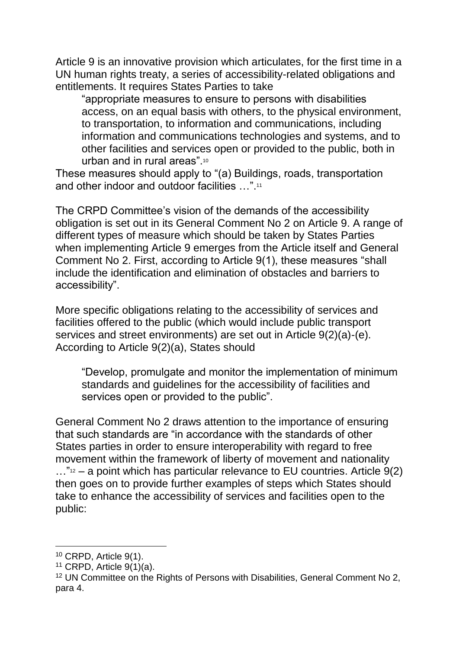Article 9 is an innovative provision which articulates, for the first time in a UN human rights treaty, a series of accessibility-related obligations and entitlements. It requires States Parties to take

"appropriate measures to ensure to persons with disabilities access, on an equal basis with others, to the physical environment, to transportation, to information and communications, including information and communications technologies and systems, and to other facilities and services open or provided to the public, both in urban and in rural areas".<sup>10</sup>

These measures should apply to "(a) Buildings, roads, transportation and other indoor and outdoor facilities …".<sup>11</sup>

The CRPD Committee's vision of the demands of the accessibility obligation is set out in its General Comment No 2 on Article 9. A range of different types of measure which should be taken by States Parties when implementing Article 9 emerges from the Article itself and General Comment No 2. First, according to Article 9(1), these measures "shall include the identification and elimination of obstacles and barriers to accessibility".

More specific obligations relating to the accessibility of services and facilities offered to the public (which would include public transport services and street environments) are set out in Article 9(2)(a)-(e). According to Article 9(2)(a), States should

"Develop, promulgate and monitor the implementation of minimum standards and guidelines for the accessibility of facilities and services open or provided to the public".

General Comment No 2 draws attention to the importance of ensuring that such standards are "in accordance with the standards of other States parties in order to ensure interoperability with regard to free movement within the framework of liberty of movement and nationality  $\ldots$ "<sup>12</sup> – a point which has particular relevance to EU countries. Article 9(2) then goes on to provide further examples of steps which States should take to enhance the accessibility of services and facilities open to the public:

-

<sup>10</sup> CRPD, Article 9(1).

<sup>11</sup> CRPD, Article 9(1)(a).

<sup>&</sup>lt;sup>12</sup> UN Committee on the Rights of Persons with Disabilities, General Comment No 2, para 4.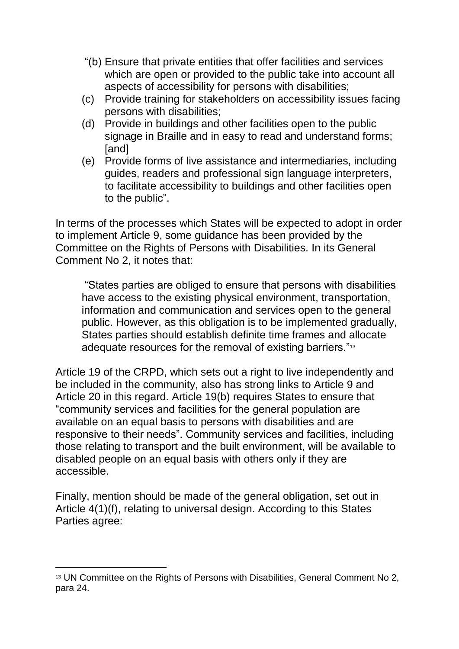- "(b) Ensure that private entities that offer facilities and services which are open or provided to the public take into account all aspects of accessibility for persons with disabilities;
- (c) Provide training for stakeholders on accessibility issues facing persons with disabilities;
- (d) Provide in buildings and other facilities open to the public signage in Braille and in easy to read and understand forms; [and]
- (e) Provide forms of live assistance and intermediaries, including guides, readers and professional sign language interpreters, to facilitate accessibility to buildings and other facilities open to the public".

In terms of the processes which States will be expected to adopt in order to implement Article 9, some guidance has been provided by the Committee on the Rights of Persons with Disabilities. In its General Comment No 2, it notes that:

"States parties are obliged to ensure that persons with disabilities have access to the existing physical environment, transportation, information and communication and services open to the general public. However, as this obligation is to be implemented gradually, States parties should establish definite time frames and allocate adequate resources for the removal of existing barriers."<sup>13</sup>

Article 19 of the CRPD, which sets out a right to live independently and be included in the community, also has strong links to Article 9 and Article 20 in this regard. Article 19(b) requires States to ensure that "community services and facilities for the general population are available on an equal basis to persons with disabilities and are responsive to their needs". Community services and facilities, including those relating to transport and the built environment, will be available to disabled people on an equal basis with others only if they are accessible.

Finally, mention should be made of the general obligation, set out in Article 4(1)(f), relating to universal design. According to this States Parties agree:

<sup>&</sup>lt;sup>13</sup> UN Committee on the Rights of Persons with Disabilities, General Comment No 2, para 24.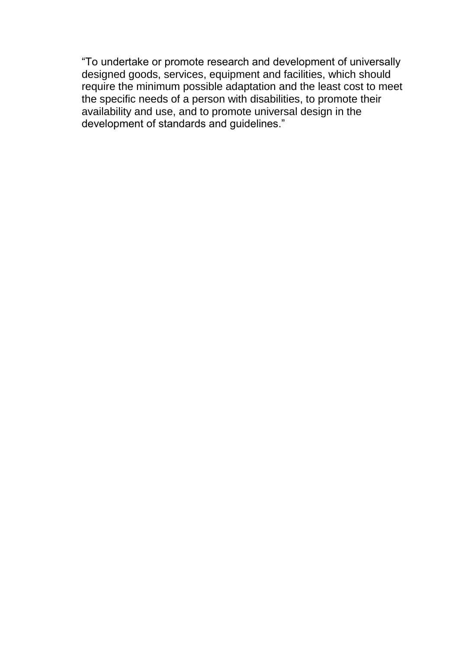"To undertake or promote research and development of universally designed goods, services, equipment and facilities, which should require the minimum possible adaptation and the least cost to meet the specific needs of a person with disabilities, to promote their availability and use, and to promote universal design in the development of standards and guidelines."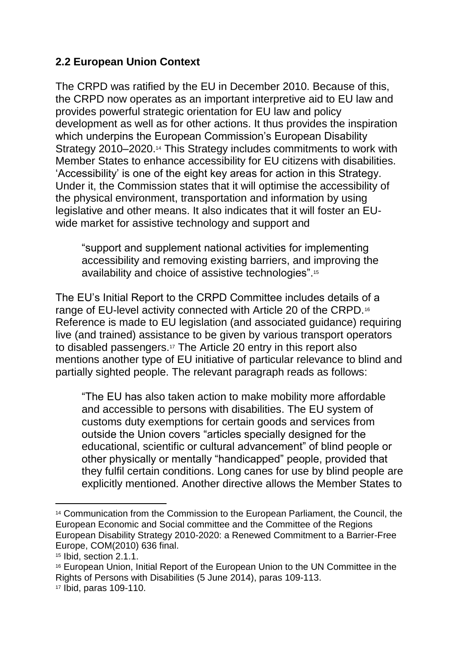## <span id="page-8-0"></span>**2.2 European Union Context**

The CRPD was ratified by the EU in December 2010. Because of this, the CRPD now operates as an important interpretive aid to EU law and provides powerful strategic orientation for EU law and policy development as well as for other actions. It thus provides the inspiration which underpins the European Commission's European Disability Strategy 2010–2020.<sup>14</sup> This Strategy includes commitments to work with Member States to enhance accessibility for EU citizens with disabilities. 'Accessibility' is one of the eight key areas for action in this Strategy. Under it, the Commission states that it will optimise the accessibility of the physical environment, transportation and information by using legislative and other means. It also indicates that it will foster an EUwide market for assistive technology and support and

"support and supplement national activities for implementing accessibility and removing existing barriers, and improving the availability and choice of assistive technologies".<sup>15</sup>

The EU's Initial Report to the CRPD Committee includes details of a range of EU-level activity connected with Article 20 of the CRPD.<sup>16</sup> Reference is made to EU legislation (and associated guidance) requiring live (and trained) assistance to be given by various transport operators to disabled passengers.<sup>17</sup> The Article 20 entry in this report also mentions another type of EU initiative of particular relevance to blind and partially sighted people. The relevant paragraph reads as follows:

"The EU has also taken action to make mobility more affordable and accessible to persons with disabilities. The EU system of customs duty exemptions for certain goods and services from outside the Union covers "articles specially designed for the educational, scientific or cultural advancement" of blind people or other physically or mentally "handicapped" people, provided that they fulfil certain conditions. Long canes for use by blind people are explicitly mentioned. Another directive allows the Member States to

-

<sup>14</sup> Communication from the Commission to the European Parliament, the Council, the European Economic and Social committee and the Committee of the Regions European Disability Strategy 2010-2020: a Renewed Commitment to a Barrier-Free Europe, COM(2010) 636 final.

<sup>15</sup> Ibid, section 2.1.1.

<sup>16</sup> European Union, Initial Report of the European Union to the UN Committee in the Rights of Persons with Disabilities (5 June 2014), paras 109-113.

<sup>17</sup> Ibid, paras 109-110.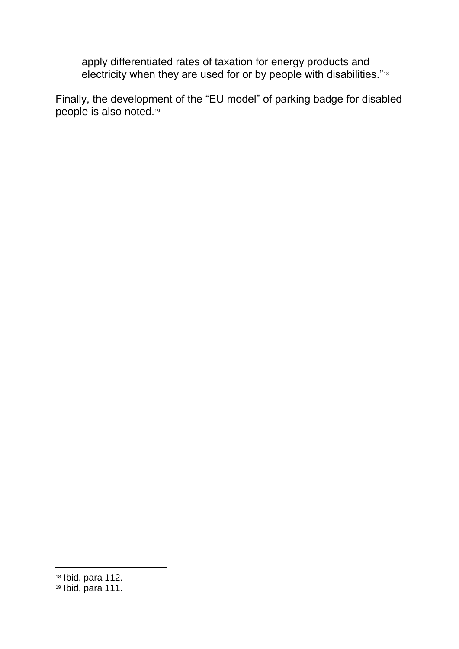apply differentiated rates of taxation for energy products and electricity when they are used for or by people with disabilities."<sup>18</sup>

Finally, the development of the "EU model" of parking badge for disabled people is also noted.<sup>19</sup>

<sup>18</sup> Ibid, para 112.

 $19$  Ibid, para 111.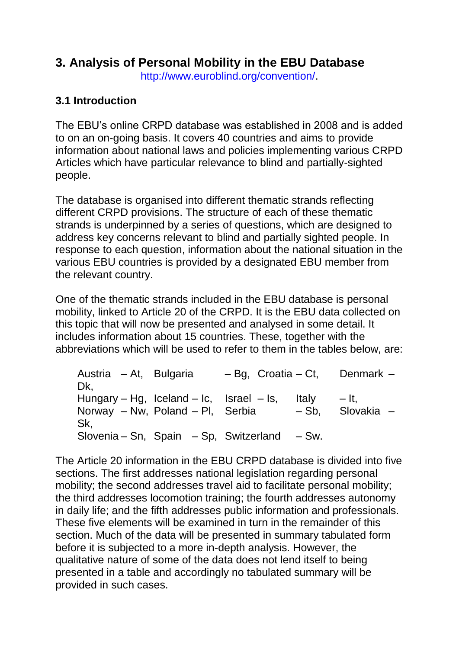# <span id="page-10-0"></span>**3. Analysis of Personal Mobility in the EBU Database**

[http://www.euroblind.org/convention/.](https://outlook-legacy.leeds.ac.uk/owa/redir.aspx?C=PTj2Fz_y-0u2hwcEvDykClLsuS8zotFIEsyMXtRHrLuCRUDfvGV3_tZfozivPgFVSJtgmWRXKJU.&URL=http%3a%2f%2fwww.euroblind.org%2fconvention%2f)

## <span id="page-10-1"></span>**3.1 Introduction**

The EBU's online CRPD database was established in 2008 and is added to on an on-going basis. It covers 40 countries and aims to provide information about national laws and policies implementing various CRPD Articles which have particular relevance to blind and partially-sighted people.

The database is organised into different thematic strands reflecting different CRPD provisions. The structure of each of these thematic strands is underpinned by a series of questions, which are designed to address key concerns relevant to blind and partially sighted people. In response to each question, information about the national situation in the various EBU countries is provided by a designated EBU member from the relevant country.

One of the thematic strands included in the EBU database is personal mobility, linked to Article 20 of the CRPD. It is the EBU data collected on this topic that will now be presented and analysed in some detail. It includes information about 15 countries. These, together with the abbreviations which will be used to refer to them in the tables below, are:

| Austria – At, Bulgaria<br>Dk.                                                | $-$ Bg, Croatia $-$ Ct, |                  | Denmark -             |
|------------------------------------------------------------------------------|-------------------------|------------------|-----------------------|
| Hungary – Hg, Iceland – Ic, Israel – Is,<br>Norway - Nw, Poland - Pl, Serbia |                         | Italv<br>$-$ Sb. | $-$ It.<br>Slovakia - |
| Sk.<br>Slovenia – Sn, Spain – Sp, Switzerland – Sw.                          |                         |                  |                       |

The Article 20 information in the EBU CRPD database is divided into five sections. The first addresses national legislation regarding personal mobility; the second addresses travel aid to facilitate personal mobility; the third addresses locomotion training; the fourth addresses autonomy in daily life; and the fifth addresses public information and professionals. These five elements will be examined in turn in the remainder of this section. Much of the data will be presented in summary tabulated form before it is subjected to a more in-depth analysis. However, the qualitative nature of some of the data does not lend itself to being presented in a table and accordingly no tabulated summary will be provided in such cases.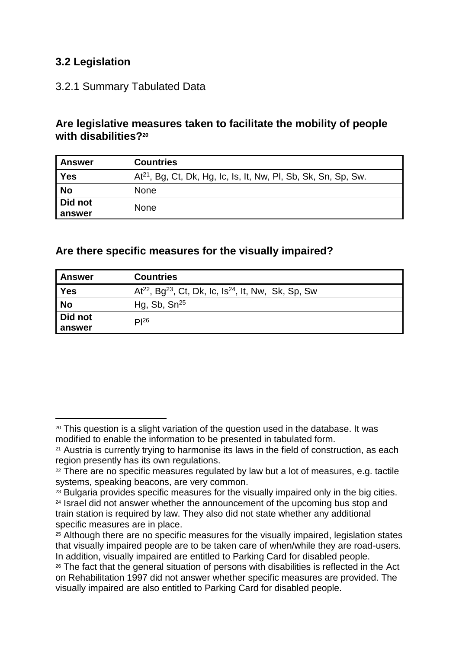## <span id="page-12-0"></span>**3.2 Legislation**

-

#### <span id="page-12-1"></span>3.2.1 Summary Tabulated Data

#### **Are legislative measures taken to facilitate the mobility of people with disabilities?<sup>20</sup>**

| <b>Answer</b>     | <b>Countries</b>                                                           |
|-------------------|----------------------------------------------------------------------------|
| Yes               | At <sup>21</sup> , Bg, Ct, Dk, Hg, Ic, Is, It, Nw, Pl, Sb, Sk, Sn, Sp, Sw. |
| <b>No</b>         | <b>None</b>                                                                |
| Did not<br>answer | <b>None</b>                                                                |

#### **Are there specific measures for the visually impaired?**

| <b>Answer</b> | <b>Countries</b>                                                                        |
|---------------|-----------------------------------------------------------------------------------------|
| Yes           | At <sup>22</sup> , Bg <sup>23</sup> , Ct, Dk, Ic, Is <sup>24</sup> , It, Nw, Sk, Sp, Sw |
| <b>No</b>     | Hg, Sb, $Sn^{25}$                                                                       |
| Did not       | $PI^{26}$                                                                               |
| answer        |                                                                                         |

<sup>20</sup> This question is a slight variation of the question used in the database. It was modified to enable the information to be presented in tabulated form.

<sup>21</sup> Austria is currently trying to harmonise its laws in the field of construction, as each region presently has its own regulations.

<sup>&</sup>lt;sup>22</sup> There are no specific measures regulated by law but a lot of measures, e.g. tactile systems, speaking beacons, are very common.

<sup>&</sup>lt;sup>23</sup> Bulgaria provides specific measures for the visually impaired only in the big cities. <sup>24</sup> Israel did not answer whether the announcement of the upcoming bus stop and train station is required by law. They also did not state whether any additional specific measures are in place.

<sup>25</sup> Although there are no specific measures for the visually impaired, legislation states that visually impaired people are to be taken care of when/while they are road-users. In addition, visually impaired are entitled to Parking Card for disabled people.

<sup>26</sup> The fact that the general situation of persons with disabilities is reflected in the Act on Rehabilitation 1997 did not answer whether specific measures are provided. The visually impaired are also entitled to Parking Card for disabled people.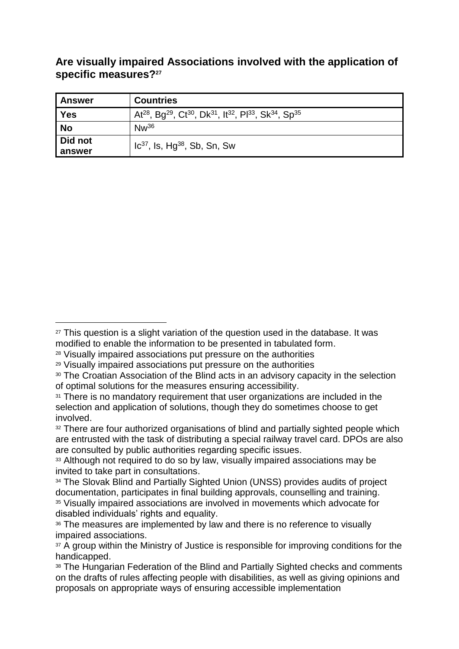**Are visually impaired Associations involved with the application of specific measures?<sup>27</sup>**

| Answer    | <b>Countries</b>                                                                                                                                      |
|-----------|-------------------------------------------------------------------------------------------------------------------------------------------------------|
| Yes       | At <sup>28</sup> , Bg <sup>29</sup> , Ct <sup>30</sup> , Dk <sup>31</sup> , It <sup>32</sup> , Pl <sup>33</sup> , Sk <sup>34</sup> , Sp <sup>35</sup> |
| <b>No</b> | $Nw^{36}$                                                                                                                                             |
| Did not   | $1c^{37}$ , Is, Hg <sup>38</sup> , Sb, Sn, Sw                                                                                                         |
| answer    |                                                                                                                                                       |

-

<sup>&</sup>lt;sup>27</sup> This question is a slight variation of the question used in the database. It was modified to enable the information to be presented in tabulated form.

<sup>28</sup> Visually impaired associations put pressure on the authorities

<sup>29</sup> Visually impaired associations put pressure on the authorities

<sup>30</sup> The Croatian Association of the Blind acts in an advisory capacity in the selection of optimal solutions for the measures ensuring accessibility.

<sup>&</sup>lt;sup>31</sup> There is no mandatory requirement that user organizations are included in the selection and application of solutions, though they do sometimes choose to get involved.

<sup>&</sup>lt;sup>32</sup> There are four authorized organisations of blind and partially sighted people which are entrusted with the task of distributing a special railway travel card. DPOs are also are consulted by public authorities regarding specific issues.

<sup>&</sup>lt;sup>33</sup> Although not required to do so by law, visually impaired associations may be invited to take part in consultations.

<sup>34</sup> The Slovak Blind and Partially Sighted Union (UNSS) provides audits of project documentation, participates in final building approvals, counselling and training. <sup>35</sup> Visually impaired associations are involved in movements which advocate for disabled individuals' rights and equality.

<sup>36</sup> The measures are implemented by law and there is no reference to visually impaired associations.

<sup>&</sup>lt;sup>37</sup> A group within the Ministry of Justice is responsible for improving conditions for the handicapped.

<sup>38</sup> The Hungarian Federation of the Blind and Partially Sighted checks and comments on the drafts of rules affecting people with disabilities, as well as giving opinions and proposals on appropriate ways of ensuring accessible implementation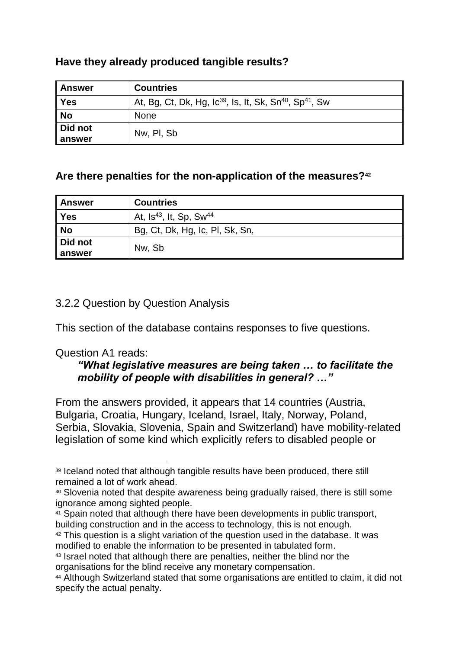| Have they already produced tangible results? |  |
|----------------------------------------------|--|
|----------------------------------------------|--|

| <b>Answer</b>     | <b>Countries</b>                                                                            |
|-------------------|---------------------------------------------------------------------------------------------|
| <b>Yes</b>        | At, Bg, Ct, Dk, Hg, Ic <sup>39</sup> , Is, It, Sk, Sn <sup>40</sup> , Sp <sup>41</sup> , Sw |
| <b>No</b>         | <b>None</b>                                                                                 |
| Did not<br>answer | Nw, PI, Sb                                                                                  |

## **Are there penalties for the non-application of the measures?<sup>42</sup>**

| Answer    | <b>Countries</b>                                |
|-----------|-------------------------------------------------|
| Yes       | At, Is <sup>43</sup> , It, Sp, Sw <sup>44</sup> |
| <b>No</b> | Bg, Ct, Dk, Hg, Ic, Pl, Sk, Sn,                 |
| Did not   | Nw, Sb                                          |
| answer    |                                                 |

#### <span id="page-14-0"></span>3.2.2 Question by Question Analysis

This section of the database contains responses to five questions.

#### Question A1 reads:

 $\overline{a}$ 

#### *"What legislative measures are being taken … to facilitate the mobility of people with disabilities in general? …"*

From the answers provided, it appears that 14 countries (Austria, Bulgaria, Croatia, Hungary, Iceland, Israel, Italy, Norway, Poland, Serbia, Slovakia, Slovenia, Spain and Switzerland) have mobility-related legislation of some kind which explicitly refers to disabled people or

- <sup>41</sup> Spain noted that although there have been developments in public transport, building construction and in the access to technology, this is not enough.
- <sup>42</sup> This question is a slight variation of the question used in the database. It was modified to enable the information to be presented in tabulated form.
- <sup>43</sup> Israel noted that although there are penalties, neither the blind nor the organisations for the blind receive any monetary compensation.

<sup>39</sup> Iceland noted that although tangible results have been produced, there still remained a lot of work ahead.

<sup>40</sup> Slovenia noted that despite awareness being gradually raised, there is still some ignorance among sighted people.

<sup>44</sup> Although Switzerland stated that some organisations are entitled to claim, it did not specify the actual penalty.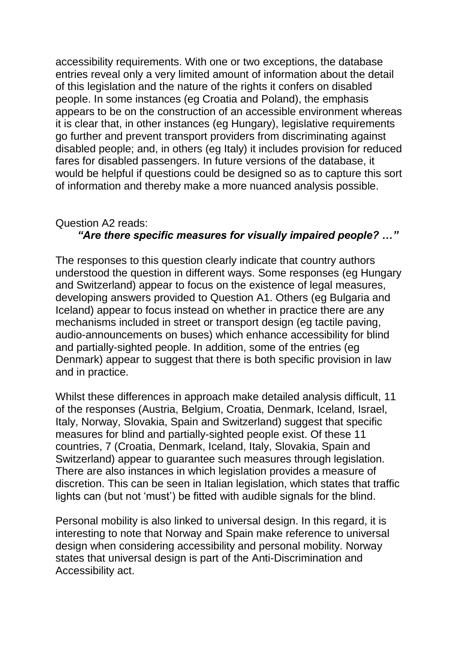accessibility requirements. With one or two exceptions, the database entries reveal only a very limited amount of information about the detail of this legislation and the nature of the rights it confers on disabled people. In some instances (eg Croatia and Poland), the emphasis appears to be on the construction of an accessible environment whereas it is clear that, in other instances (eg Hungary), legislative requirements go further and prevent transport providers from discriminating against disabled people; and, in others (eg Italy) it includes provision for reduced fares for disabled passengers. In future versions of the database, it would be helpful if questions could be designed so as to capture this sort of information and thereby make a more nuanced analysis possible.

# Question A2 reads:

## *"Are there specific measures for visually impaired people? …"*

The responses to this question clearly indicate that country authors understood the question in different ways. Some responses (eg Hungary and Switzerland) appear to focus on the existence of legal measures, developing answers provided to Question A1. Others (eg Bulgaria and Iceland) appear to focus instead on whether in practice there are any mechanisms included in street or transport design (eg tactile paving, audio-announcements on buses) which enhance accessibility for blind and partially-sighted people. In addition, some of the entries (eg Denmark) appear to suggest that there is both specific provision in law and in practice.

Whilst these differences in approach make detailed analysis difficult, 11 of the responses (Austria, Belgium, Croatia, Denmark, Iceland, Israel, Italy, Norway, Slovakia, Spain and Switzerland) suggest that specific measures for blind and partially-sighted people exist. Of these 11 countries, 7 (Croatia, Denmark, Iceland, Italy, Slovakia, Spain and Switzerland) appear to guarantee such measures through legislation. There are also instances in which legislation provides a measure of discretion. This can be seen in Italian legislation, which states that traffic lights can (but not 'must') be fitted with audible signals for the blind.

Personal mobility is also linked to universal design. In this regard, it is interesting to note that Norway and Spain make reference to universal design when considering accessibility and personal mobility. Norway states that universal design is part of the Anti-Discrimination and Accessibility act.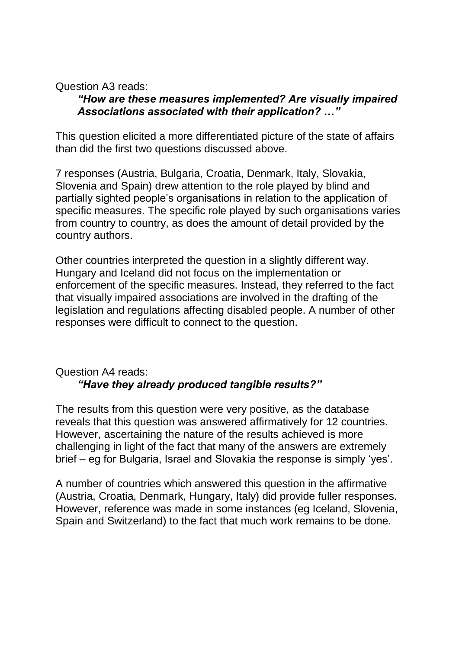Question A3 reads:

#### *"How are these measures implemented? Are visually impaired Associations associated with their application? …"*

This question elicited a more differentiated picture of the state of affairs than did the first two questions discussed above.

7 responses (Austria, Bulgaria, Croatia, Denmark, Italy, Slovakia, Slovenia and Spain) drew attention to the role played by blind and partially sighted people's organisations in relation to the application of specific measures. The specific role played by such organisations varies from country to country, as does the amount of detail provided by the country authors.

Other countries interpreted the question in a slightly different way. Hungary and Iceland did not focus on the implementation or enforcement of the specific measures. Instead, they referred to the fact that visually impaired associations are involved in the drafting of the legislation and regulations affecting disabled people. A number of other responses were difficult to connect to the question.

## Question A4 reads: *"Have they already produced tangible results?"*

The results from this question were very positive, as the database reveals that this question was answered affirmatively for 12 countries. However, ascertaining the nature of the results achieved is more challenging in light of the fact that many of the answers are extremely brief – eg for Bulgaria, Israel and Slovakia the response is simply 'yes'.

A number of countries which answered this question in the affirmative (Austria, Croatia, Denmark, Hungary, Italy) did provide fuller responses. However, reference was made in some instances (eg Iceland, Slovenia, Spain and Switzerland) to the fact that much work remains to be done.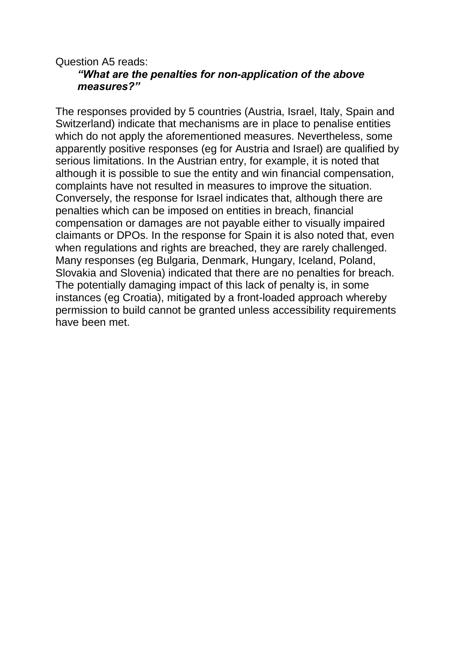#### Question A5 reads: *"What are the penalties for non-application of the above measures?"*

The responses provided by 5 countries (Austria, Israel, Italy, Spain and Switzerland) indicate that mechanisms are in place to penalise entities which do not apply the aforementioned measures. Nevertheless, some apparently positive responses (eg for Austria and Israel) are qualified by serious limitations. In the Austrian entry, for example, it is noted that although it is possible to sue the entity and win financial compensation, complaints have not resulted in measures to improve the situation. Conversely, the response for Israel indicates that, although there are penalties which can be imposed on entities in breach, financial compensation or damages are not payable either to visually impaired claimants or DPOs. In the response for Spain it is also noted that, even when regulations and rights are breached, they are rarely challenged. Many responses (eg Bulgaria, Denmark, Hungary, Iceland, Poland, Slovakia and Slovenia) indicated that there are no penalties for breach. The potentially damaging impact of this lack of penalty is, in some instances (eg Croatia), mitigated by a front-loaded approach whereby permission to build cannot be granted unless accessibility requirements have been met.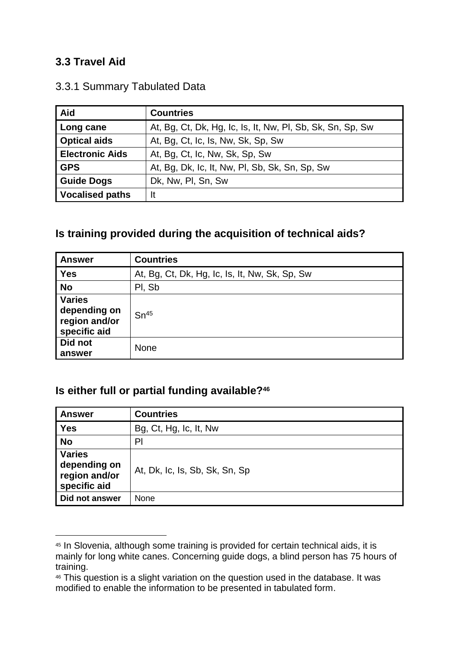## <span id="page-18-0"></span>**3.3 Travel Aid**

-

| Aid                    | <b>Countries</b>                                           |
|------------------------|------------------------------------------------------------|
| Long cane              | At, Bg, Ct, Dk, Hg, Ic, Is, It, Nw, Pl, Sb, Sk, Sn, Sp, Sw |
| <b>Optical aids</b>    | At, Bg, Ct, Ic, Is, Nw, Sk, Sp, Sw                         |
| <b>Electronic Aids</b> | At, Bg, Ct, Ic, Nw, Sk, Sp, Sw                             |
| <b>GPS</b>             | At, Bg, Dk, Ic, It, Nw, PI, Sb, Sk, Sn, Sp, Sw             |
| <b>Guide Dogs</b>      | Dk, Nw, Pl, Sn, Sw                                         |
| <b>Vocalised paths</b> | It                                                         |

## <span id="page-18-1"></span>3.3.1 Summary Tabulated Data

## **Is training provided during the acquisition of technical aids?**

| <b>Answer</b>                                                  | <b>Countries</b>                               |
|----------------------------------------------------------------|------------------------------------------------|
| <b>Yes</b>                                                     | At, Bg, Ct, Dk, Hg, Ic, Is, It, Nw, Sk, Sp, Sw |
| <b>No</b>                                                      | PI, Sb                                         |
| <b>Varies</b><br>depending on<br>region and/or<br>specific aid | Sn <sup>45</sup>                               |
| Did not<br>answer                                              | <b>None</b>                                    |

## **Is either full or partial funding available?<sup>46</sup>**

| <b>Answer</b>                                                  | <b>Countries</b>               |
|----------------------------------------------------------------|--------------------------------|
| <b>Yes</b>                                                     | Bg, Ct, Hg, Ic, It, Nw         |
| <b>No</b>                                                      | P <sub>l</sub>                 |
| <b>Varies</b><br>depending on<br>region and/or<br>specific aid | At, Dk, Ic, Is, Sb, Sk, Sn, Sp |
| Did not answer                                                 | None                           |

<sup>45</sup> In Slovenia, although some training is provided for certain technical aids, it is mainly for long white canes. Concerning guide dogs, a blind person has 75 hours of training.

<sup>46</sup> This question is a slight variation on the question used in the database. It was modified to enable the information to be presented in tabulated form.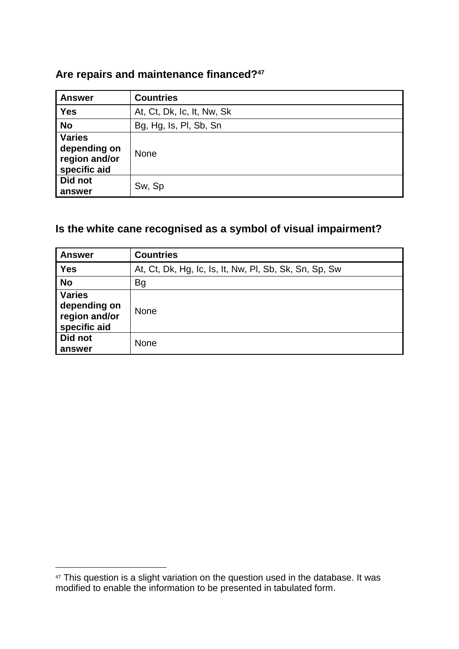## **Are repairs and maintenance financed?<sup>47</sup>**

| <b>Answer</b>                                                  | <b>Countries</b>           |
|----------------------------------------------------------------|----------------------------|
| <b>Yes</b>                                                     | At, Ct, Dk, Ic, It, Nw, Sk |
| <b>No</b>                                                      | Bg, Hg, Is, Pl, Sb, Sn     |
| <b>Varies</b><br>depending on<br>region and/or<br>specific aid | <b>None</b>                |
| Did not<br>answer                                              | Sw, Sp                     |

## **Is the white cane recognised as a symbol of visual impairment?**

| <b>Answer</b>                                                  | <b>Countries</b>                                       |
|----------------------------------------------------------------|--------------------------------------------------------|
| <b>Yes</b>                                                     | At, Ct, Dk, Hg, Ic, Is, It, Nw, PI, Sb, Sk, Sn, Sp, Sw |
| <b>No</b>                                                      | Bg                                                     |
| <b>Varies</b><br>depending on<br>region and/or<br>specific aid | <b>None</b>                                            |
| Did not<br>answer                                              | <b>None</b>                                            |

<sup>&</sup>lt;sup>47</sup> This question is a slight variation on the question used in the database. It was modified to enable the information to be presented in tabulated form.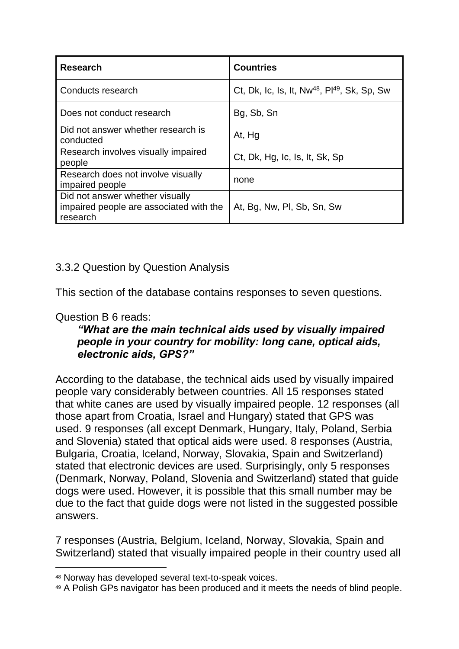| <b>Research</b>                                                                        | <b>Countries</b>                                                     |
|----------------------------------------------------------------------------------------|----------------------------------------------------------------------|
| Conducts research                                                                      | Ct, Dk, Ic, Is, It, Nw <sup>48</sup> , Pl <sup>49</sup> , Sk, Sp, Sw |
| Does not conduct research                                                              | Bg, Sb, Sn                                                           |
| Did not answer whether research is<br>conducted                                        | At, Hg                                                               |
| Research involves visually impaired<br>people                                          | Ct, Dk, Hg, Ic, Is, It, Sk, Sp                                       |
| Research does not involve visually<br>impaired people                                  | none                                                                 |
| Did not answer whether visually<br>impaired people are associated with the<br>research | At, Bg, Nw, Pl, Sb, Sn, Sw                                           |

## <span id="page-20-0"></span>3.3.2 Question by Question Analysis

This section of the database contains responses to seven questions.

## Question B 6 reads:

 $\overline{a}$ 

#### *"What are the main technical aids used by visually impaired people in your country for mobility: long cane, optical aids, electronic aids, GPS?"*

According to the database, the technical aids used by visually impaired people vary considerably between countries. All 15 responses stated that white canes are used by visually impaired people. 12 responses (all those apart from Croatia, Israel and Hungary) stated that GPS was used. 9 responses (all except Denmark, Hungary, Italy, Poland, Serbia and Slovenia) stated that optical aids were used. 8 responses (Austria, Bulgaria, Croatia, Iceland, Norway, Slovakia, Spain and Switzerland) stated that electronic devices are used. Surprisingly, only 5 responses (Denmark, Norway, Poland, Slovenia and Switzerland) stated that guide dogs were used. However, it is possible that this small number may be due to the fact that quide dogs were not listed in the suggested possible answers.

7 responses (Austria, Belgium, Iceland, Norway, Slovakia, Spain and Switzerland) stated that visually impaired people in their country used all

<sup>48</sup> Norway has developed several text-to-speak voices.

<sup>49</sup> A Polish GPs navigator has been produced and it meets the needs of blind people.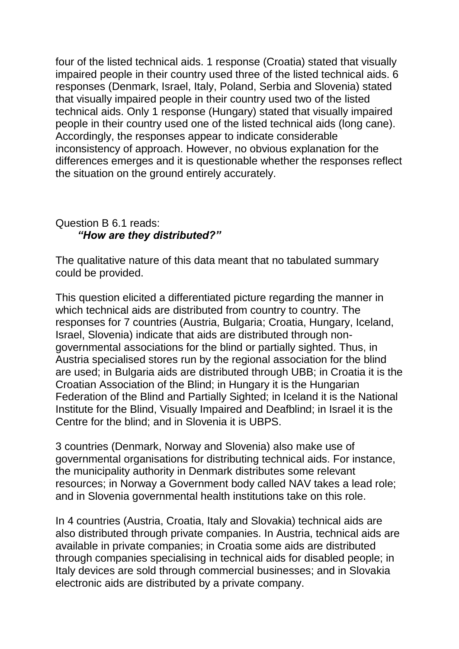four of the listed technical aids. 1 response (Croatia) stated that visually impaired people in their country used three of the listed technical aids. 6 responses (Denmark, Israel, Italy, Poland, Serbia and Slovenia) stated that visually impaired people in their country used two of the listed technical aids. Only 1 response (Hungary) stated that visually impaired people in their country used one of the listed technical aids (long cane). Accordingly, the responses appear to indicate considerable inconsistency of approach. However, no obvious explanation for the differences emerges and it is questionable whether the responses reflect the situation on the ground entirely accurately.

#### Question B 6.1 reads: *"How are they distributed?"*

The qualitative nature of this data meant that no tabulated summary could be provided.

This question elicited a differentiated picture regarding the manner in which technical aids are distributed from country to country. The responses for 7 countries (Austria, Bulgaria; Croatia, Hungary, Iceland, Israel, Slovenia) indicate that aids are distributed through nongovernmental associations for the blind or partially sighted. Thus, in Austria specialised stores run by the regional association for the blind are used; in Bulgaria aids are distributed through UBB; in Croatia it is the Croatian Association of the Blind; in Hungary it is the Hungarian Federation of the Blind and Partially Sighted; in Iceland it is the National Institute for the Blind, Visually Impaired and Deafblind; in Israel it is the Centre for the blind; and in Slovenia it is UBPS.

3 countries (Denmark, Norway and Slovenia) also make use of governmental organisations for distributing technical aids. For instance, the municipality authority in Denmark distributes some relevant resources; in Norway a Government body called NAV takes a lead role; and in Slovenia governmental health institutions take on this role.

In 4 countries (Austria, Croatia, Italy and Slovakia) technical aids are also distributed through private companies. In Austria, technical aids are available in private companies; in Croatia some aids are distributed through companies specialising in technical aids for disabled people; in Italy devices are sold through commercial businesses; and in Slovakia electronic aids are distributed by a private company.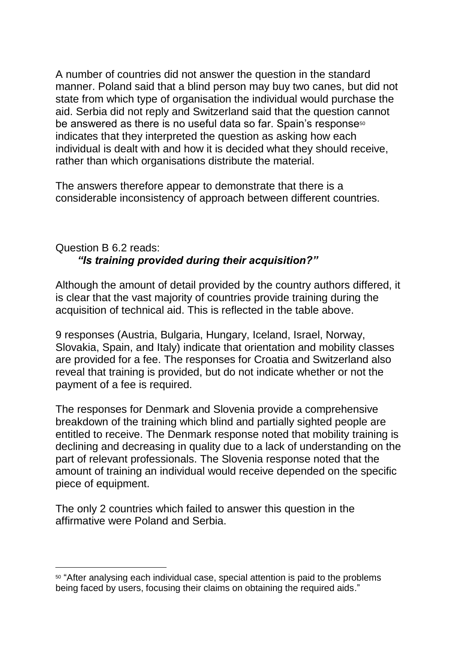A number of countries did not answer the question in the standard manner. Poland said that a blind person may buy two canes, but did not state from which type of organisation the individual would purchase the aid. Serbia did not reply and Switzerland said that the question cannot be answered as there is no useful data so far. Spain's response<sup>50</sup> indicates that they interpreted the question as asking how each individual is dealt with and how it is decided what they should receive, rather than which organisations distribute the material.

The answers therefore appear to demonstrate that there is a considerable inconsistency of approach between different countries.

## Question B 6.2 reads: *"Is training provided during their acquisition?"*

Although the amount of detail provided by the country authors differed, it is clear that the vast majority of countries provide training during the acquisition of technical aid. This is reflected in the table above.

9 responses (Austria, Bulgaria, Hungary, Iceland, Israel, Norway, Slovakia, Spain, and Italy) indicate that orientation and mobility classes are provided for a fee. The responses for Croatia and Switzerland also reveal that training is provided, but do not indicate whether or not the payment of a fee is required.

The responses for Denmark and Slovenia provide a comprehensive breakdown of the training which blind and partially sighted people are entitled to receive. The Denmark response noted that mobility training is declining and decreasing in quality due to a lack of understanding on the part of relevant professionals. The Slovenia response noted that the amount of training an individual would receive depended on the specific piece of equipment.

The only 2 countries which failed to answer this question in the affirmative were Poland and Serbia.

<sup>50</sup> "After analysing each individual case, special attention is paid to the problems being faced by users, focusing their claims on obtaining the required aids."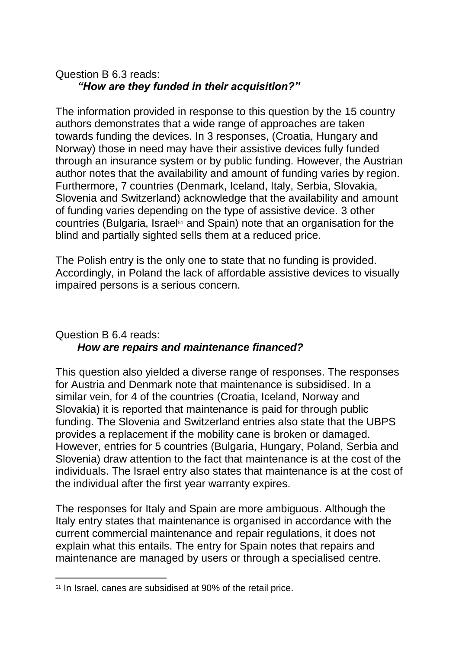## Question B 6.3 reads: *"How are they funded in their acquisition?"*

The information provided in response to this question by the 15 country authors demonstrates that a wide range of approaches are taken towards funding the devices. In 3 responses, (Croatia, Hungary and Norway) those in need may have their assistive devices fully funded through an insurance system or by public funding. However, the Austrian author notes that the availability and amount of funding varies by region. Furthermore, 7 countries (Denmark, Iceland, Italy, Serbia, Slovakia, Slovenia and Switzerland) acknowledge that the availability and amount of funding varies depending on the type of assistive device. 3 other countries (Bulgaria, Israel<sup>51</sup> and Spain) note that an organisation for the blind and partially sighted sells them at a reduced price.

The Polish entry is the only one to state that no funding is provided. Accordingly, in Poland the lack of affordable assistive devices to visually impaired persons is a serious concern.

## Question B 6.4 reads: *How are repairs and maintenance financed?*

This question also yielded a diverse range of responses. The responses for Austria and Denmark note that maintenance is subsidised. In a similar vein, for 4 of the countries (Croatia, Iceland, Norway and Slovakia) it is reported that maintenance is paid for through public funding. The Slovenia and Switzerland entries also state that the UBPS provides a replacement if the mobility cane is broken or damaged. However, entries for 5 countries (Bulgaria, Hungary, Poland, Serbia and Slovenia) draw attention to the fact that maintenance is at the cost of the individuals. The Israel entry also states that maintenance is at the cost of the individual after the first year warranty expires.

The responses for Italy and Spain are more ambiguous. Although the Italy entry states that maintenance is organised in accordance with the current commercial maintenance and repair regulations, it does not explain what this entails. The entry for Spain notes that repairs and maintenance are managed by users or through a specialised centre.

<sup>51</sup> In Israel, canes are subsidised at 90% of the retail price.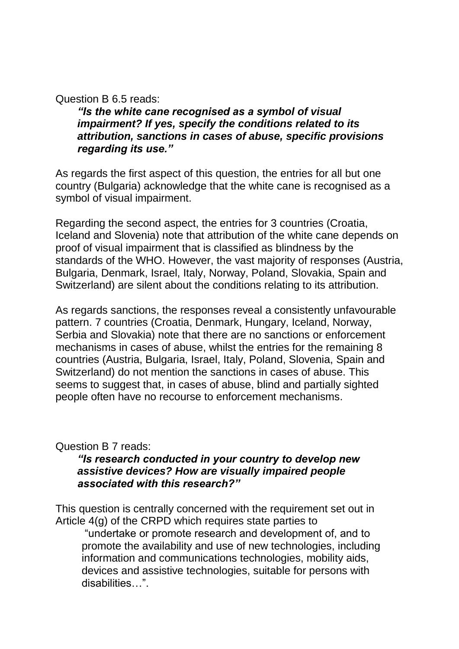Question B 6.5 reads:

*"Is the white cane recognised as a symbol of visual impairment? If yes, specify the conditions related to its attribution, sanctions in cases of abuse, specific provisions regarding its use."* 

As regards the first aspect of this question, the entries for all but one country (Bulgaria) acknowledge that the white cane is recognised as a symbol of visual impairment.

Regarding the second aspect, the entries for 3 countries (Croatia, Iceland and Slovenia) note that attribution of the white cane depends on proof of visual impairment that is classified as blindness by the standards of the WHO. However, the vast majority of responses (Austria, Bulgaria, Denmark, Israel, Italy, Norway, Poland, Slovakia, Spain and Switzerland) are silent about the conditions relating to its attribution.

As regards sanctions, the responses reveal a consistently unfavourable pattern. 7 countries (Croatia, Denmark, Hungary, Iceland, Norway, Serbia and Slovakia) note that there are no sanctions or enforcement mechanisms in cases of abuse, whilst the entries for the remaining 8 countries (Austria, Bulgaria, Israel, Italy, Poland, Slovenia, Spain and Switzerland) do not mention the sanctions in cases of abuse. This seems to suggest that, in cases of abuse, blind and partially sighted people often have no recourse to enforcement mechanisms.

Question B 7 reads:

#### *"Is research conducted in your country to develop new assistive devices? How are visually impaired people associated with this research?"*

This question is centrally concerned with the requirement set out in Article 4(g) of the CRPD which requires state parties to

"undertake or promote research and development of, and to promote the availability and use of new technologies, including information and communications technologies, mobility aids, devices and assistive technologies, suitable for persons with disabilities…".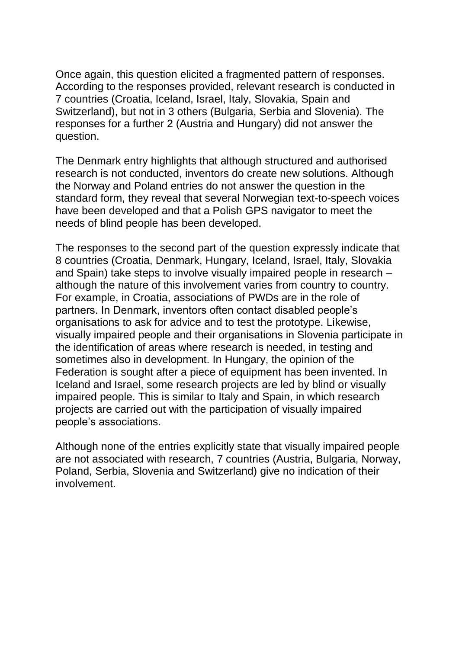Once again, this question elicited a fragmented pattern of responses. According to the responses provided, relevant research is conducted in 7 countries (Croatia, Iceland, Israel, Italy, Slovakia, Spain and Switzerland), but not in 3 others (Bulgaria, Serbia and Slovenia). The responses for a further 2 (Austria and Hungary) did not answer the question.

The Denmark entry highlights that although structured and authorised research is not conducted, inventors do create new solutions. Although the Norway and Poland entries do not answer the question in the standard form, they reveal that several Norwegian text-to-speech voices have been developed and that a Polish GPS navigator to meet the needs of blind people has been developed.

The responses to the second part of the question expressly indicate that 8 countries (Croatia, Denmark, Hungary, Iceland, Israel, Italy, Slovakia and Spain) take steps to involve visually impaired people in research – although the nature of this involvement varies from country to country. For example, in Croatia, associations of PWDs are in the role of partners. In Denmark, inventors often contact disabled people's organisations to ask for advice and to test the prototype. Likewise, visually impaired people and their organisations in Slovenia participate in the identification of areas where research is needed, in testing and sometimes also in development. In Hungary, the opinion of the Federation is sought after a piece of equipment has been invented. In Iceland and Israel, some research projects are led by blind or visually impaired people. This is similar to Italy and Spain, in which research projects are carried out with the participation of visually impaired people's associations.

Although none of the entries explicitly state that visually impaired people are not associated with research, 7 countries (Austria, Bulgaria, Norway, Poland, Serbia, Slovenia and Switzerland) give no indication of their involvement.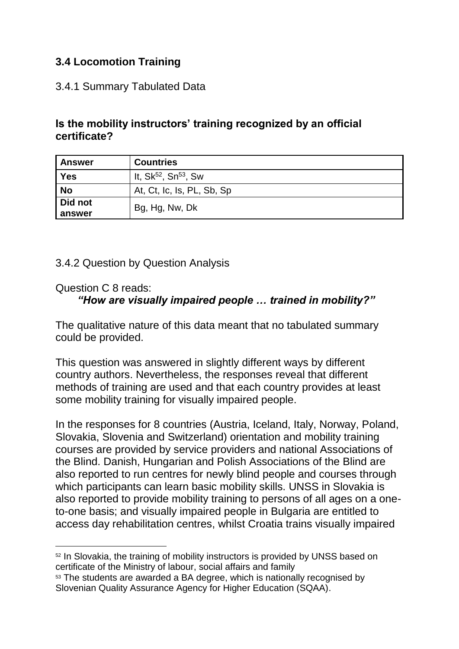## <span id="page-26-0"></span>**3.4 Locomotion Training**

### <span id="page-26-1"></span>3.4.1 Summary Tabulated Data

### **Is the mobility instructors' training recognized by an official certificate?**

| <b>Answer</b>     | <b>Countries</b>                             |
|-------------------|----------------------------------------------|
| Yes               | It, Sk <sup>52</sup> , Sn <sup>53</sup> , Sw |
| <b>No</b>         | At, Ct, Ic, Is, PL, Sb, Sp                   |
| Did not<br>answer | Bg, Hg, Nw, Dk                               |

#### <span id="page-26-2"></span>3.4.2 Question by Question Analysis

#### Question C 8 reads:

-

## *"How are visually impaired people … trained in mobility?"*

The qualitative nature of this data meant that no tabulated summary could be provided.

This question was answered in slightly different ways by different country authors. Nevertheless, the responses reveal that different methods of training are used and that each country provides at least some mobility training for visually impaired people.

In the responses for 8 countries (Austria, Iceland, Italy, Norway, Poland, Slovakia, Slovenia and Switzerland) orientation and mobility training courses are provided by service providers and national Associations of the Blind. Danish, Hungarian and Polish Associations of the Blind are also reported to run centres for newly blind people and courses through which participants can learn basic mobility skills. UNSS in Slovakia is also reported to provide mobility training to persons of all ages on a oneto-one basis; and visually impaired people in Bulgaria are entitled to access day rehabilitation centres, whilst Croatia trains visually impaired

<sup>52</sup> In Slovakia, the training of mobility instructors is provided by UNSS based on certificate of the Ministry of labour, social affairs and family

<sup>53</sup> The students are awarded a BA degree, which is nationally recognised by Slovenian Quality Assurance Agency for Higher Education (SQAA).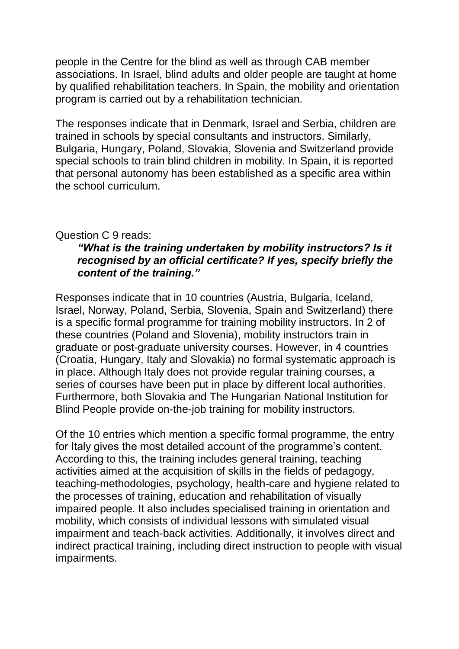people in the Centre for the blind as well as through CAB member associations. In Israel, blind adults and older people are taught at home by qualified rehabilitation teachers. In Spain, the mobility and orientation program is carried out by a rehabilitation technician.

The responses indicate that in Denmark, Israel and Serbia, children are trained in schools by special consultants and instructors. Similarly, Bulgaria, Hungary, Poland, Slovakia, Slovenia and Switzerland provide special schools to train blind children in mobility. In Spain, it is reported that personal autonomy has been established as a specific area within the school curriculum.

#### Question C 9 reads:

#### *"What is the training undertaken by mobility instructors? Is it recognised by an official certificate? If yes, specify briefly the content of the training."*

Responses indicate that in 10 countries (Austria, Bulgaria, Iceland, Israel, Norway, Poland, Serbia, Slovenia, Spain and Switzerland) there is a specific formal programme for training mobility instructors. In 2 of these countries (Poland and Slovenia), mobility instructors train in graduate or post-graduate university courses. However, in 4 countries (Croatia, Hungary, Italy and Slovakia) no formal systematic approach is in place. Although Italy does not provide regular training courses, a series of courses have been put in place by different local authorities. Furthermore, both Slovakia and The Hungarian National Institution for Blind People provide on-the-job training for mobility instructors.

Of the 10 entries which mention a specific formal programme, the entry for Italy gives the most detailed account of the programme's content. According to this, the training includes general training, teaching activities aimed at the acquisition of skills in the fields of pedagogy, teaching-methodologies, psychology, health-care and hygiene related to the processes of training, education and rehabilitation of visually impaired people. It also includes specialised training in orientation and mobility, which consists of individual lessons with simulated visual impairment and teach-back activities. Additionally, it involves direct and indirect practical training, including direct instruction to people with visual impairments.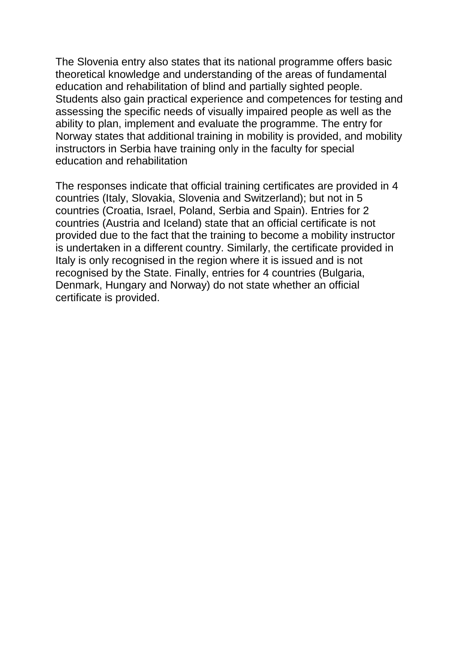The Slovenia entry also states that its national programme offers basic theoretical knowledge and understanding of the areas of fundamental education and rehabilitation of blind and partially sighted people. Students also gain practical experience and competences for testing and assessing the specific needs of visually impaired people as well as the ability to plan, implement and evaluate the programme. The entry for Norway states that additional training in mobility is provided, and mobility instructors in Serbia have training only in the faculty for special education and rehabilitation

The responses indicate that official training certificates are provided in 4 countries (Italy, Slovakia, Slovenia and Switzerland); but not in 5 countries (Croatia, Israel, Poland, Serbia and Spain). Entries for 2 countries (Austria and Iceland) state that an official certificate is not provided due to the fact that the training to become a mobility instructor is undertaken in a different country. Similarly, the certificate provided in Italy is only recognised in the region where it is issued and is not recognised by the State. Finally, entries for 4 countries (Bulgaria, Denmark, Hungary and Norway) do not state whether an official certificate is provided.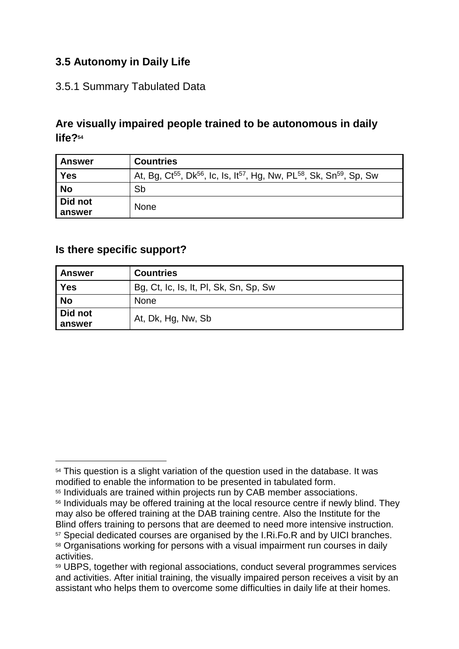## <span id="page-29-0"></span>**3.5 Autonomy in Daily Life**

#### <span id="page-29-1"></span>3.5.1 Summary Tabulated Data

## **Are visually impaired people trained to be autonomous in daily life?<sup>54</sup>**

| <b>Answer</b>     | <b>Countries</b>                                                                                                                  |
|-------------------|-----------------------------------------------------------------------------------------------------------------------------------|
| <b>Yes</b>        | At, Bg, Ct <sup>55</sup> , Dk <sup>56</sup> , Ic, Is, It <sup>57</sup> , Hg, Nw, PL <sup>58</sup> , Sk, Sn <sup>59</sup> , Sp, Sw |
| <b>No</b>         | Sb                                                                                                                                |
| Did not<br>answer | <b>None</b>                                                                                                                       |

#### **Is there specific support?**

| <b>Answer</b> | <b>Countries</b>                       |
|---------------|----------------------------------------|
| <b>Yes</b>    | Bg, Ct, Ic, Is, It, PI, Sk, Sn, Sp, Sw |
| <b>No</b>     | <b>None</b>                            |
| Did not       | At, Dk, Hg, Nw, Sb                     |
| answer        |                                        |

 $\overline{a}$ <sup>54</sup> This question is a slight variation of the question used in the database. It was modified to enable the information to be presented in tabulated form.

<sup>55</sup> Individuals are trained within projects run by CAB member associations.

<sup>56</sup> Individuals may be offered training at the local resource centre if newly blind. They may also be offered training at the DAB training centre. Also the Institute for the Blind offers training to persons that are deemed to need more intensive instruction.

<sup>57</sup> Special dedicated courses are organised by the I.Ri.Fo.R and by UICI branches.

<sup>58</sup> Organisations working for persons with a visual impairment run courses in daily activities.

<sup>59</sup> UBPS, together with regional associations, conduct several programmes services and activities. After initial training, the visually impaired person receives a visit by an assistant who helps them to overcome some difficulties in daily life at their homes.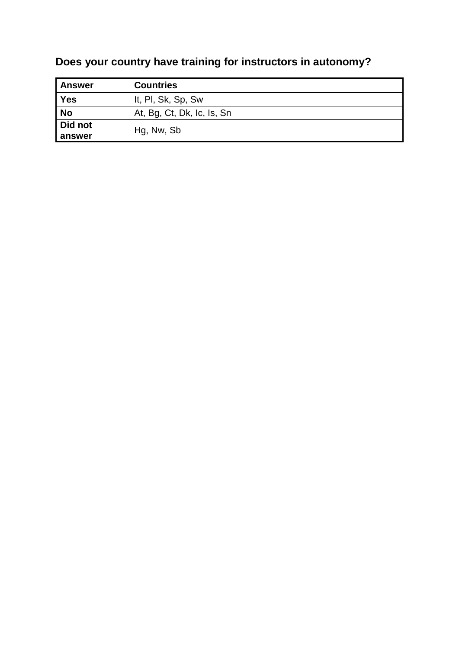# **Does your country have training for instructors in autonomy?**

| Answer            | <b>Countries</b>           |
|-------------------|----------------------------|
| <b>Yes</b>        | It, PI, Sk, Sp, Sw         |
| <b>No</b>         | At, Bg, Ct, Dk, Ic, Is, Sn |
| Did not<br>answer | Hg, Nw, Sb                 |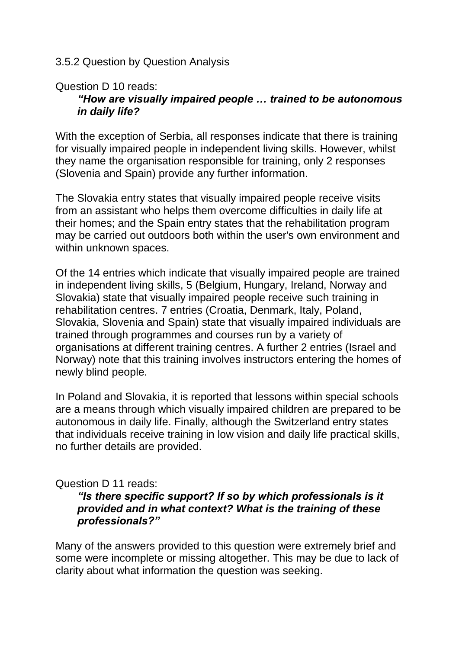#### <span id="page-31-0"></span>3.5.2 Question by Question Analysis

#### Question D 10 reads:

## *"How are visually impaired people … trained to be autonomous in daily life?*

With the exception of Serbia, all responses indicate that there is training for visually impaired people in independent living skills. However, whilst they name the organisation responsible for training, only 2 responses (Slovenia and Spain) provide any further information.

The Slovakia entry states that visually impaired people receive visits from an assistant who helps them overcome difficulties in daily life at their homes; and the Spain entry states that the rehabilitation program may be carried out outdoors both within the user's own environment and within unknown spaces.

Of the 14 entries which indicate that visually impaired people are trained in independent living skills, 5 (Belgium, Hungary, Ireland, Norway and Slovakia) state that visually impaired people receive such training in rehabilitation centres. 7 entries (Croatia, Denmark, Italy, Poland, Slovakia, Slovenia and Spain) state that visually impaired individuals are trained through programmes and courses run by a variety of organisations at different training centres. A further 2 entries (Israel and Norway) note that this training involves instructors entering the homes of newly blind people.

In Poland and Slovakia, it is reported that lessons within special schools are a means through which visually impaired children are prepared to be autonomous in daily life. Finally, although the Switzerland entry states that individuals receive training in low vision and daily life practical skills, no further details are provided.

## Question D 11 reads:

#### *"Is there specific support? If so by which professionals is it provided and in what context? What is the training of these professionals?"*

Many of the answers provided to this question were extremely brief and some were incomplete or missing altogether. This may be due to lack of clarity about what information the question was seeking.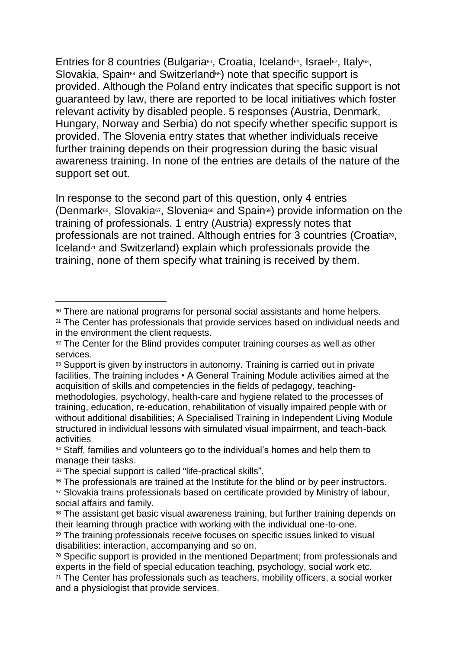Entries for 8 countries (Bulgaria<sup>®</sup>, Croatia, Iceland<sup>®1</sup>, Israel<sup>®2</sup>, Italy<sup>®3</sup>, Slovakia, Spain<sup>64</sup> and Switzerland<sup>65</sup>) note that specific support is provided. Although the Poland entry indicates that specific support is not guaranteed by law, there are reported to be local initiatives which foster relevant activity by disabled people. 5 responses (Austria, Denmark, Hungary, Norway and Serbia) do not specify whether specific support is provided. The Slovenia entry states that whether individuals receive further training depends on their progression during the basic visual awareness training. In none of the entries are details of the nature of the support set out.

In response to the second part of this question, only 4 entries (Denmark<sup>66</sup>, Slovakia<sup>67</sup>, Slovenia<sup>68</sup> and Spain<sup>69</sup>) provide information on the training of professionals. 1 entry (Austria) expressly notes that professionals are not trained. Although entries for 3 countries (Croatia<sup>70</sup>, Iceland<sup>71</sup> and Switzerland) explain which professionals provide the training, none of them specify what training is received by them.

-

<sup>60</sup> There are national programs for personal social assistants and home helpers.

<sup>&</sup>lt;sup>61</sup> The Center has professionals that provide services based on individual needs and in the environment the client requests.

<sup>&</sup>lt;sup>62</sup> The Center for the Blind provides computer training courses as well as other services.

<sup>63</sup> Support is given by instructors in autonomy. Training is carried out in private facilities. The training includes • A General Training Module activities aimed at the acquisition of skills and competencies in the fields of pedagogy, teachingmethodologies, psychology, health-care and hygiene related to the processes of training, education, re-education, rehabilitation of visually impaired people with or without additional disabilities; A Specialised Training in Independent Living Module structured in individual lessons with simulated visual impairment, and teach-back activities

<sup>64</sup> Staff, families and volunteers go to the individual's homes and help them to manage their tasks.

<sup>&</sup>lt;sup>65</sup> The special support is called "life-practical skills".

<sup>&</sup>lt;sup>66</sup> The professionals are trained at the Institute for the blind or by peer instructors.

<sup>&</sup>lt;sup>67</sup> Slovakia trains professionals based on certificate provided by Ministry of labour, social affairs and family.

<sup>68</sup> The assistant get basic visual awareness training, but further training depends on their learning through practice with working with the individual one-to-one.

<sup>69</sup> The training professionals receive focuses on specific issues linked to visual disabilities: interaction, accompanying and so on.

<sup>70</sup> Specific support is provided in the mentioned Department; from professionals and experts in the field of special education teaching, psychology, social work etc.

<sup>71</sup> The Center has professionals such as teachers, mobility officers, a social worker and a physiologist that provide services.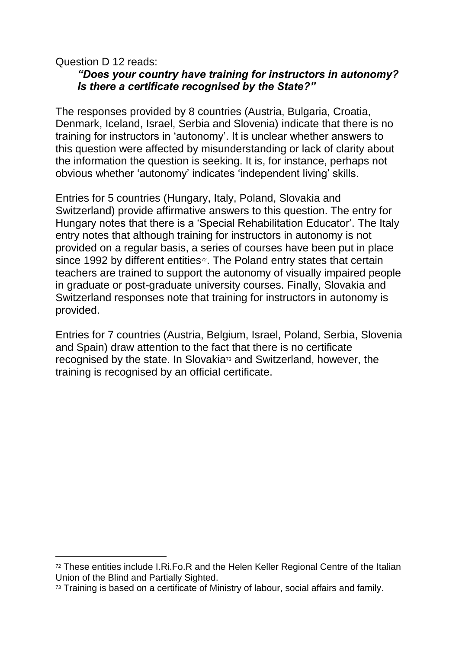#### Question D 12 reads:

-

### *"Does your country have training for instructors in autonomy? Is there a certificate recognised by the State?"*

The responses provided by 8 countries (Austria, Bulgaria, Croatia, Denmark, Iceland, Israel, Serbia and Slovenia) indicate that there is no training for instructors in 'autonomy'. It is unclear whether answers to this question were affected by misunderstanding or lack of clarity about the information the question is seeking. It is, for instance, perhaps not obvious whether 'autonomy' indicates 'independent living' skills.

Entries for 5 countries (Hungary, Italy, Poland, Slovakia and Switzerland) provide affirmative answers to this question. The entry for Hungary notes that there is a 'Special Rehabilitation Educator'. The Italy entry notes that although training for instructors in autonomy is not provided on a regular basis, a series of courses have been put in place since 1992 by different entities<sup>72</sup>. The Poland entry states that certain teachers are trained to support the autonomy of visually impaired people in graduate or post-graduate university courses. Finally, Slovakia and Switzerland responses note that training for instructors in autonomy is provided.

Entries for 7 countries (Austria, Belgium, Israel, Poland, Serbia, Slovenia and Spain) draw attention to the fact that there is no certificate recognised by the state. In Slovakia<sup>73</sup> and Switzerland, however, the training is recognised by an official certificate.

<sup>&</sup>lt;sup>72</sup> These entities include I.Ri.Fo.R and the Helen Keller Regional Centre of the Italian Union of the Blind and Partially Sighted.

<sup>&</sup>lt;sup>73</sup> Training is based on a certificate of Ministry of labour, social affairs and family.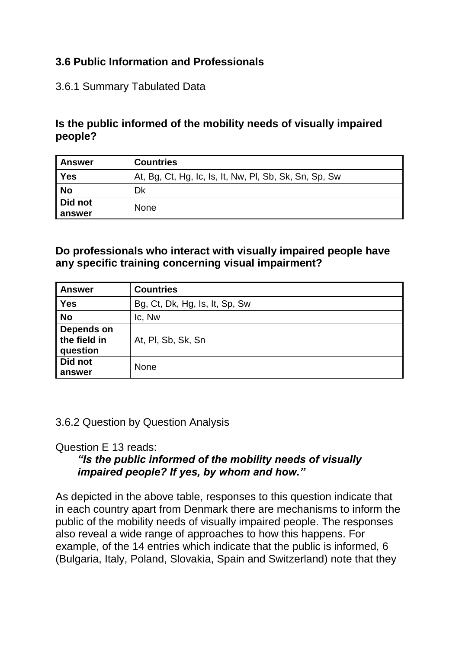## <span id="page-34-0"></span>**3.6 Public Information and Professionals**

## <span id="page-34-1"></span>3.6.1 Summary Tabulated Data

## **Is the public informed of the mobility needs of visually impaired people?**

| <b>Answer</b>     | <b>Countries</b>                                       |
|-------------------|--------------------------------------------------------|
| Yes               | At, Bg, Ct, Hg, Ic, Is, It, Nw, PI, Sb, Sk, Sn, Sp, Sw |
| <b>No</b>         | Dk                                                     |
| Did not<br>answer | <b>None</b>                                            |

**Do professionals who interact with visually impaired people have any specific training concerning visual impairment?**

| <b>Answer</b>                          | <b>Countries</b>               |
|----------------------------------------|--------------------------------|
| <b>Yes</b>                             | Bg, Ct, Dk, Hg, Is, It, Sp, Sw |
| <b>No</b>                              | Ic, Nw                         |
| Depends on<br>the field in<br>question | At, PI, Sb, Sk, Sn             |
| Did not<br>answer                      | <b>None</b>                    |

<span id="page-34-2"></span>3.6.2 Question by Question Analysis

Question E 13 reads:

## *"Is the public informed of the mobility needs of visually impaired people? If yes, by whom and how."*

As depicted in the above table, responses to this question indicate that in each country apart from Denmark there are mechanisms to inform the public of the mobility needs of visually impaired people. The responses also reveal a wide range of approaches to how this happens. For example, of the 14 entries which indicate that the public is informed, 6 (Bulgaria, Italy, Poland, Slovakia, Spain and Switzerland) note that they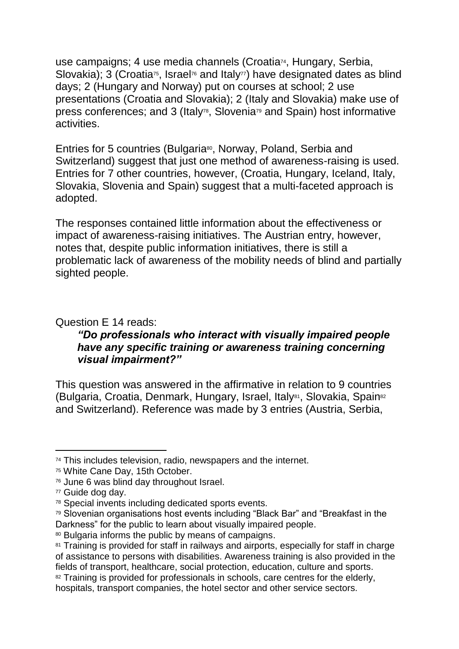use campaigns; 4 use media channels (Croatia<sup>74</sup>, Hungary, Serbia, Slovakia); 3 (Croatia<sup>75</sup>, Israel<sup>76</sup> and Italy<sup>77</sup>) have designated dates as blind days; 2 (Hungary and Norway) put on courses at school; 2 use presentations (Croatia and Slovakia); 2 (Italy and Slovakia) make use of press conferences; and 3 (Italy<sup>78</sup>, Slovenia<sup>79</sup> and Spain) host informative activities.

Entries for 5 countries (Bulgaria<sup>80</sup>, Norway, Poland, Serbia and Switzerland) suggest that just one method of awareness-raising is used. Entries for 7 other countries, however, (Croatia, Hungary, Iceland, Italy, Slovakia, Slovenia and Spain) suggest that a multi-faceted approach is adopted.

The responses contained little information about the effectiveness or impact of awareness-raising initiatives. The Austrian entry, however, notes that, despite public information initiatives, there is still a problematic lack of awareness of the mobility needs of blind and partially sighted people.

#### Question E 14 reads:

#### *"Do professionals who interact with visually impaired people have any specific training or awareness training concerning visual impairment?"*

This question was answered in the affirmative in relation to 9 countries (Bulgaria, Croatia, Denmark, Hungary, Israel, Italy<sup>81</sup>, Slovakia, Spain<sup>82</sup> and Switzerland). Reference was made by 3 entries (Austria, Serbia,

<sup>74</sup> This includes television, radio, newspapers and the internet.

<sup>75</sup> White Cane Day, 15th October.

<sup>76</sup> June 6 was blind day throughout Israel.

<sup>77</sup> Guide dog day.

<sup>78</sup> Special invents including dedicated sports events.

<sup>79</sup> Slovenian organisations host events including "Black Bar" and "Breakfast in the Darkness" for the public to learn about visually impaired people.

<sup>80</sup> Bulgaria informs the public by means of campaigns.

<sup>81</sup> Training is provided for staff in railways and airports, especially for staff in charge of assistance to persons with disabilities. Awareness training is also provided in the fields of transport, healthcare, social protection, education, culture and sports. 82 Training is provided for professionals in schools, care centres for the elderly,

hospitals, transport companies, the hotel sector and other service sectors.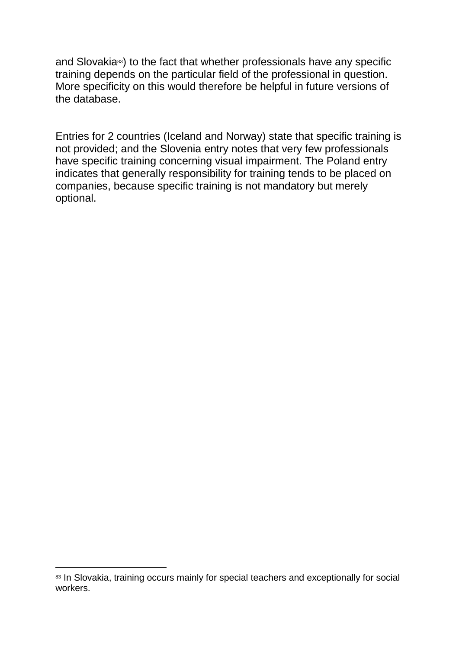and Slovakia<sup>83</sup>) to the fact that whether professionals have any specific training depends on the particular field of the professional in question. More specificity on this would therefore be helpful in future versions of the database.

Entries for 2 countries (Iceland and Norway) state that specific training is not provided; and the Slovenia entry notes that very few professionals have specific training concerning visual impairment. The Poland entry indicates that generally responsibility for training tends to be placed on companies, because specific training is not mandatory but merely optional.

<sup>83</sup> In Slovakia, training occurs mainly for special teachers and exceptionally for social workers.